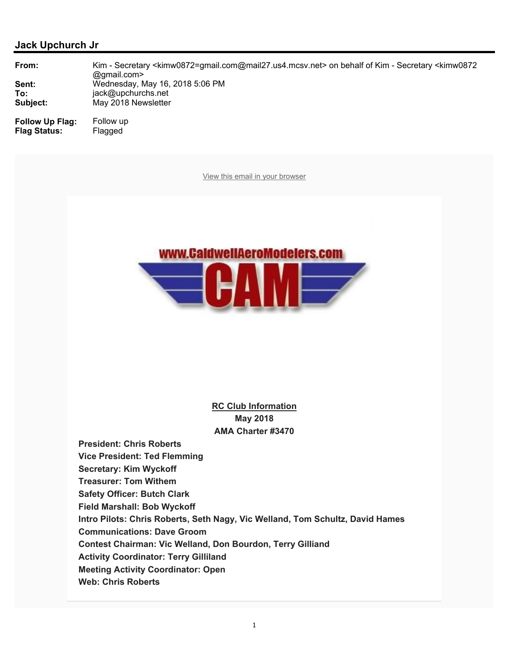

**RC Club Information May 2018 AMA Charter #3470**

**President: Chris Roberts Vice President: Ted Flemming Secretary: Kim Wyckoff Treasurer: Tom Withem Safety Officer: Butch Clark Field Marshall: Bob Wyckoff Intro Pilots: Chris Roberts, Seth Nagy, Vic Welland, Tom Schultz, David Hames Communications: Dave Groom Contest Chairman: Vic Welland, Don Bourdon, Terry Gilliand Activity Coordinator: Terry Gilliland Meeting Activity Coordinator: Open Web: Chris Roberts**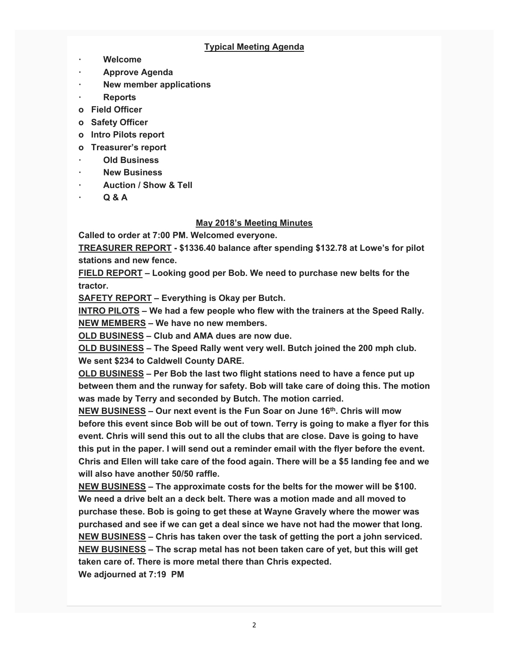## **Typical Meeting Agenda**

- **ꞏ Welcome**
- **ꞏ Approve Agenda**
- **ꞏ New member applications**
- **ꞏ Reports**
- **o Field Officer**
- **o Safety Officer**
- **o Intro Pilots report**
- **o Treasurer's report**
- **ꞏ Old Business**
- **ꞏ New Business**
- **ꞏ Auction / Show & Tell**
- **ꞏ Q & A**

## **May 2018's Meeting Minutes**

**Called to order at 7:00 PM. Welcomed everyone.** 

**TREASURER REPORT - \$1336.40 balance after spending \$132.78 at Lowe's for pilot stations and new fence.** 

**FIELD REPORT – Looking good per Bob. We need to purchase new belts for the tractor.** 

**SAFETY REPORT – Everything is Okay per Butch.** 

**INTRO PILOTS – We had a few people who flew with the trainers at the Speed Rally. NEW MEMBERS – We have no new members.** 

**OLD BUSINESS – Club and AMA dues are now due.** 

**OLD BUSINESS – The Speed Rally went very well. Butch joined the 200 mph club. We sent \$234 to Caldwell County DARE.** 

**OLD BUSINESS – Per Bob the last two flight stations need to have a fence put up between them and the runway for safety. Bob will take care of doing this. The motion was made by Terry and seconded by Butch. The motion carried.** 

**NEW BUSINESS – Our next event is the Fun Soar on June 16th. Chris will mow before this event since Bob will be out of town. Terry is going to make a flyer for this event. Chris will send this out to all the clubs that are close. Dave is going to have this put in the paper. I will send out a reminder email with the flyer before the event. Chris and Ellen will take care of the food again. There will be a \$5 landing fee and we will also have another 50/50 raffle.** 

**NEW BUSINESS – The approximate costs for the belts for the mower will be \$100. We need a drive belt an a deck belt. There was a motion made and all moved to purchase these. Bob is going to get these at Wayne Gravely where the mower was purchased and see if we can get a deal since we have not had the mower that long. NEW BUSINESS – Chris has taken over the task of getting the port a john serviced. NEW BUSINESS – The scrap metal has not been taken care of yet, but this will get taken care of. There is more metal there than Chris expected. We adjourned at 7:19 PM**